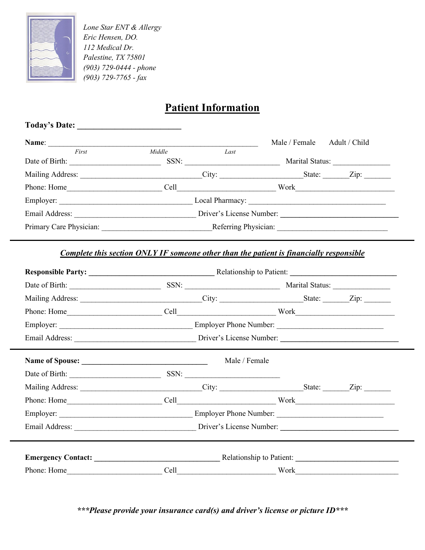

*Lone Star ENT & Allergy Eric Hensen, DO. 112 Medical Dr. Palestine, TX 75801 (903) 729-0444 - phone (903) 729-7765 - fax*

# **Patient Information**

| Today's Date:                                                                                                                                                                                                                 |                          |                                                                                                                                                                                                                                |               |                 |
|-------------------------------------------------------------------------------------------------------------------------------------------------------------------------------------------------------------------------------|--------------------------|--------------------------------------------------------------------------------------------------------------------------------------------------------------------------------------------------------------------------------|---------------|-----------------|
| Name:                                                                                                                                                                                                                         |                          |                                                                                                                                                                                                                                | Male / Female | Adult / Child   |
| First                                                                                                                                                                                                                         | Middle                   | Last                                                                                                                                                                                                                           |               |                 |
| Date of Birth:<br><u> 1990 - Jan Barnett, franc</u>                                                                                                                                                                           | SSN:                     |                                                                                                                                                                                                                                |               | Marital Status: |
|                                                                                                                                                                                                                               |                          | City:                                                                                                                                                                                                                          | State:        | $\mathbf{Zip:}$ |
| Phone: Home                                                                                                                                                                                                                   |                          | Cell and the contract of the contract of the contract of the contract of the contract of the contract of the contract of the contract of the contract of the contract of the contract of the contract of the contract of the c | Work          |                 |
| Employer:                                                                                                                                                                                                                     |                          |                                                                                                                                                                                                                                |               |                 |
| Email Address: The Manuscripture of the Manuscripture of the Manuscripture of the Manuscripture of the Manuscripture of the Manuscripture of the Manuscripture of the Manuscripture of the Manuscripture of the Manuscripture | Driver's License Number: |                                                                                                                                                                                                                                |               |                 |
| Primary Care Physician:                                                                                                                                                                                                       | Referring Physician:     |                                                                                                                                                                                                                                |               |                 |

### *Complete this section ONLY IF someone other than the patient is financially responsible*

| Mailing Address: _________________________________City: _________________________State: ________Zip: _________ |               |                                                                         |  |
|----------------------------------------------------------------------------------------------------------------|---------------|-------------------------------------------------------------------------|--|
|                                                                                                                |               |                                                                         |  |
|                                                                                                                |               |                                                                         |  |
|                                                                                                                |               |                                                                         |  |
|                                                                                                                | Male / Female |                                                                         |  |
|                                                                                                                |               |                                                                         |  |
|                                                                                                                |               |                                                                         |  |
|                                                                                                                |               |                                                                         |  |
|                                                                                                                |               |                                                                         |  |
|                                                                                                                |               | Email Address: <u>Driver's License Number:</u> Driver's License Number: |  |
|                                                                                                                |               |                                                                         |  |
|                                                                                                                |               |                                                                         |  |
| Phone: Home                                                                                                    | Cell          | $\frac{Work}{1}$                                                        |  |

*\*\*\*Please provide your insurance card(s) and driver's license or picture ID\*\*\**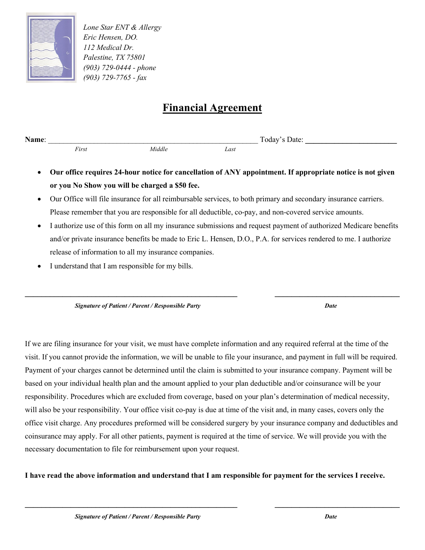

*Lone Star ENT & Allergy Eric Hensen, DO. 112 Medical Dr. Palestine, TX 75801 (903) 729-0444 - phone (903) 729-7765 - fax*

# **Financial Agreement**

**Name**: \_\_\_\_\_\_\_\_\_\_\_\_\_\_\_\_\_\_\_\_\_\_\_\_\_\_\_\_\_\_\_\_\_\_\_\_\_\_\_\_\_\_\_\_\_\_\_\_\_\_\_\_\_\_\_ Today's Date: **\_\_\_\_\_\_\_\_\_\_\_\_\_\_\_\_\_\_\_\_\_\_**

*First Middle Last*

- **Our office requires 24-hour notice for cancellation of ANY appointment. If appropriate notice is not given or you No Show you will be charged a \$50 fee.**
- Our Office will file insurance for all reimbursable services, to both primary and secondary insurance carriers. Please remember that you are responsible for all deductible, co-pay, and non-covered service amounts.
- I authorize use of this form on all my insurance submissions and request payment of authorized Medicare benefits and/or private insurance benefits be made to Eric L. Hensen, D.O., P.A. for services rendered to me. I authorize release of information to all my insurance companies.

**\_\_\_\_\_\_\_\_\_\_\_\_\_\_\_\_\_\_\_\_\_\_\_\_\_\_\_\_\_\_\_\_\_\_\_\_\_\_\_\_\_\_\_\_\_\_\_\_\_\_\_ \_\_\_\_\_\_\_\_\_\_\_\_\_\_\_\_\_\_\_\_\_\_\_\_\_\_\_\_\_\_**

I understand that I am responsible for my bills.

*Signature of Patient / Parent / Responsible Party Date*

If we are filing insurance for your visit, we must have complete information and any required referral at the time of the visit. If you cannot provide the information, we will be unable to file your insurance, and payment in full will be required. Payment of your charges cannot be determined until the claim is submitted to your insurance company. Payment will be based on your individual health plan and the amount applied to your plan deductible and/or coinsurance will be your responsibility. Procedures which are excluded from coverage, based on your plan's determination of medical necessity, will also be your responsibility. Your office visit co-pay is due at time of the visit and, in many cases, covers only the office visit charge. Any procedures preformed will be considered surgery by your insurance company and deductibles and coinsurance may apply. For all other patients, payment is required at the time of service. We will provide you with the necessary documentation to file for reimbursement upon your request.

**I have read the above information and understand that I am responsible for payment for the services I receive.**

**\_\_\_\_\_\_\_\_\_\_\_\_\_\_\_\_\_\_\_\_\_\_\_\_\_\_\_\_\_\_\_\_\_\_\_\_\_\_\_\_\_\_\_\_\_\_\_\_\_\_\_ \_\_\_\_\_\_\_\_\_\_\_\_\_\_\_\_\_\_\_\_\_\_\_\_\_\_\_\_\_\_**

*Signature of Patient / Parent / Responsible Party Date*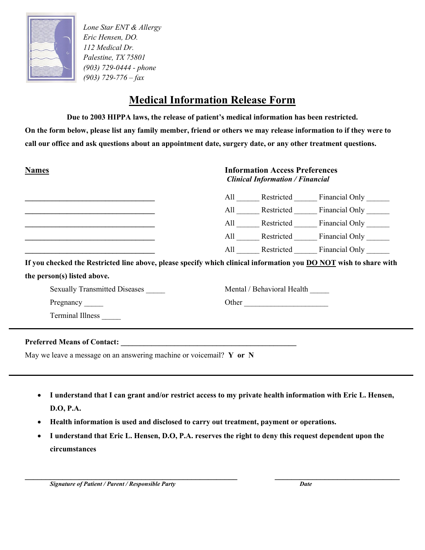

*Lone Star ENT & Allergy Eric Hensen, DO. 112 Medical Dr. Palestine, TX 75801 (903) 729-0444 - phone (903) 729-776 – fax*

# **Medical Information Release Form**

**Due to 2003 HIPPA laws, the release of patient's medical information has been restricted.**

**On the form below, please list any family member, friend or others we may release information to if they were to call our office and ask questions about an appointment date, surgery date, or any other treatment questions.**

| <b>Names</b>                                                                                                           | <b>Information Access Preferences</b><br><b>Clinical Information / Financial</b> |                            |                                                         |
|------------------------------------------------------------------------------------------------------------------------|----------------------------------------------------------------------------------|----------------------------|---------------------------------------------------------|
|                                                                                                                        |                                                                                  |                            | All ________ Restricted ________ Financial Only _______ |
|                                                                                                                        |                                                                                  |                            | All Restricted Financial Only                           |
| <u> 1989 - Johann John Stoff, deutscher Stoffen und der Stoffen und der Stoffen und der Stoffen und der Stoffen un</u> |                                                                                  |                            | All Restricted Financial Only                           |
| <u> 1980 - Jan James James James James James James James James James James James James James James James James Ja</u>  |                                                                                  |                            | All Restricted Financial Only                           |
|                                                                                                                        |                                                                                  |                            | All Restricted Financial Only                           |
| If you checked the Restricted line above, please specify which clinical information you DO NOT wish to share with      |                                                                                  |                            |                                                         |
| the person(s) listed above.                                                                                            |                                                                                  |                            |                                                         |
| <b>Sexually Transmitted Diseases</b>                                                                                   |                                                                                  | Mental / Behavioral Health |                                                         |
| Pregnancy                                                                                                              |                                                                                  | Other                      |                                                         |
| <b>Terminal Illness</b>                                                                                                |                                                                                  |                            |                                                         |
| Preferred Means of Contact: New York Contact:                                                                          |                                                                                  |                            |                                                         |

May we leave a message on an answering machine or voicemail? **Y or N**

- **I understand that I can grant and/or restrict access to my private health information with Eric L. Hensen, D.O, P.A.**
- **Health information is used and disclosed to carry out treatment, payment or operations.**
- **I understand that Eric L. Hensen, D.O, P.A. reserves the right to deny this request dependent upon the circumstances**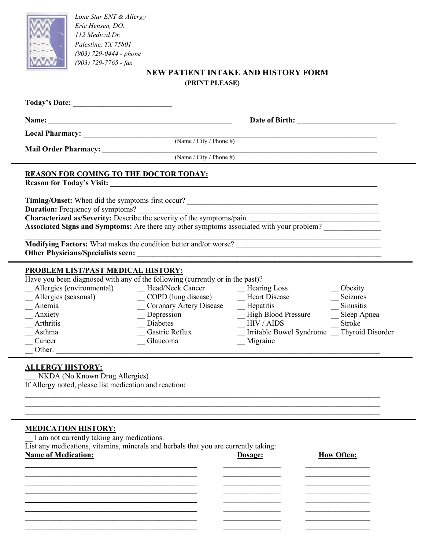

*Lone Star ENT & Allergy Eric Hensen, DO. 112 Medical Dr. Palestine, TX 75801 (903) 729-0444 - phone (903) 729-7765 - fax*

### **NEW PATIENT INTAKE AND HISTORY FORM (PRINT PLEASE)**

|                                                                                                                                                                                                                                                                                                       | (Name / City / Phone #)                                                                                                                      |                                                                                                                                     |                                                                                    |  |  |
|-------------------------------------------------------------------------------------------------------------------------------------------------------------------------------------------------------------------------------------------------------------------------------------------------------|----------------------------------------------------------------------------------------------------------------------------------------------|-------------------------------------------------------------------------------------------------------------------------------------|------------------------------------------------------------------------------------|--|--|
|                                                                                                                                                                                                                                                                                                       |                                                                                                                                              |                                                                                                                                     |                                                                                    |  |  |
| <b>REASON FOR COMING TO THE DOCTOR TODAY:</b>                                                                                                                                                                                                                                                         |                                                                                                                                              |                                                                                                                                     |                                                                                    |  |  |
| <b>Duration:</b> Frequency of symptoms?<br>Characterized as/Severity: Describe the severity of the symptoms/pain.<br>Associated Signs and Symptoms: Are there any other symptoms associated with your problem?                                                                                        |                                                                                                                                              |                                                                                                                                     |                                                                                    |  |  |
|                                                                                                                                                                                                                                                                                                       |                                                                                                                                              |                                                                                                                                     |                                                                                    |  |  |
| PROBLEM LIST/PAST MEDICAL HISTORY:<br>Have you been diagnosed with any of the following (currently or in the past)?<br>Allergies (environmental)<br>Allergies (seasonal)<br>Anemia<br>Anxiety<br>Arthritis<br>Asthma<br>Cancer<br>Other:<br><b>ALLERGY HISTORY:</b><br>NKDA (No Known Drug Allergies) | Head/Neck Cancer<br>Hearing Loss<br>_COPD (lung disease)<br>_Coronary Artery Disease<br>Depression<br>Diabetes<br>Gastric Reflux<br>Glaucoma | -Heart Disease<br>$\equiv$ Hepatitis<br>-High Blood Pressure<br>HIV / AIDS<br>Irritable Bowel Syndrome Thyroid Disorder<br>Migraine | Obesity<br>Seizures<br>$\overline{\phantom{a}}$ Sinusitis<br>Sleep Apnea<br>Stroke |  |  |
| If Allergy noted, please list medication and reaction:                                                                                                                                                                                                                                                |                                                                                                                                              |                                                                                                                                     |                                                                                    |  |  |
| <b>MEDICATION HISTORY:</b><br>I am not currently taking any medications.<br>$\overline{List}$ any medications, vitamins, minerals and herbals that you are currently taking:<br><b>Name of Medication:</b>                                                                                            |                                                                                                                                              | Dosage:                                                                                                                             | <b>How Often:</b>                                                                  |  |  |

 $\_$  , and the contribution of the contribution of  $\mathcal{L}_\mathcal{A}$  , and the contribution of  $\mathcal{L}_\mathcal{A}$  , and the contribution of  $\mathcal{L}_\mathcal{A}$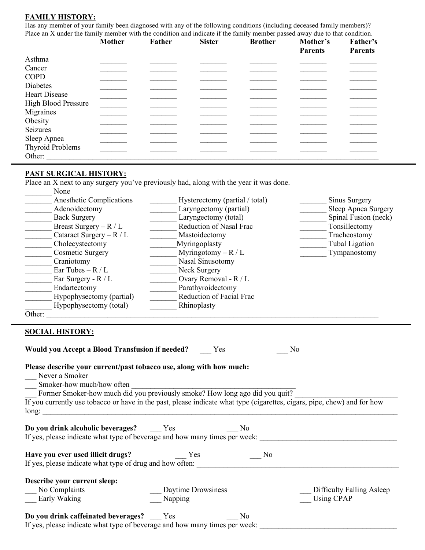#### **FAMILY HISTORY:**

Has any member of your family been diagnosed with any of the following conditions (including deceased family members)? Place an X under the family member with the condition and indicate if the family member passed away due to that condition.

|                            | <b>Mother</b> | <b>Father</b> | <b>Sister</b> | <b>Brother</b> | Mother's       | Father's       |
|----------------------------|---------------|---------------|---------------|----------------|----------------|----------------|
|                            |               |               |               |                | <b>Parents</b> | <b>Parents</b> |
| Asthma                     |               |               |               |                |                |                |
| Cancer                     |               |               |               |                |                |                |
| <b>COPD</b>                |               |               |               |                |                |                |
| Diabetes                   |               |               |               |                |                |                |
| Heart Disease              |               |               |               |                |                |                |
| <b>High Blood Pressure</b> |               |               |               |                |                |                |
| Migraines                  |               |               |               |                |                |                |
| Obesity                    |               |               |               |                |                |                |
| Seizures                   |               |               |               |                |                |                |
| Sleep Apnea                |               |               |               |                |                |                |
| Thyroid Problems           |               |               |               |                |                |                |
| Other:                     |               |               |               |                |                |                |

#### **PAST SURGICAL HISTORY:**

Place an X next to any surgery you've previously had, along with the year it was done. \_\_\_\_\_\_\_ None

|        | Anesthetic Complications   | Hysterectomy (partial / total) | Sinus Surgery        |
|--------|----------------------------|--------------------------------|----------------------|
|        | Adenoidectomy              | Laryngectomy (partial)         | Sleep Apnea Surgery  |
|        | <b>Back Surgery</b>        | Laryngectomy (total)           | Spinal Fusion (neck) |
|        | Breast Surgery $-R/L$      | Reduction of Nasal Frac        | Tonsillectomy        |
|        | Cataract Surgery – $R / L$ | Mastoidectomy                  | Tracheostomy         |
|        | Cholecystectomy            | Myringoplasty                  | Tubal Ligation       |
|        | Cosmetic Surgery           | Myringotomy – $R/L$            | Tympanostomy         |
|        | Craniotomy                 | Nasal Sinusotomy               |                      |
|        | Ear Tubes $- R / L$        | Neck Surgery                   |                      |
|        | Ear Surgery - $R/L$        | Ovary Removal - R / L          |                      |
|        | Endartectomy               | Parathyroidectomy              |                      |
|        | Hypophysectomy (partial)   | Reduction of Facial Frac       |                      |
|        | Hypophysectomy (total)     | Rhinoplasty                    |                      |
| Other: |                            |                                |                      |

#### **SOCIAL HISTORY:**

| <b>Would you Accept a Blood Transfusion if needed?</b> Yes                                                                                                                                                                                                                                                                             |                                 |                | No                                               |
|----------------------------------------------------------------------------------------------------------------------------------------------------------------------------------------------------------------------------------------------------------------------------------------------------------------------------------------|---------------------------------|----------------|--------------------------------------------------|
| Please describe your current/past tobacco use, along with how much:<br>Never a Smoker<br>Smoker-how much/how often<br>Former Smoker-how much did you previously smoke? How long ago did you quit?<br>If you currently use tobacco or have in the past, please indicate what type (cigarettes, cigars, pipe, chew) and for how<br>long: |                                 |                |                                                  |
| Do you drink alcoholic beverages? Yes<br>If yes, please indicate what type of beverage and how many times per week:                                                                                                                                                                                                                    |                                 | N <sub>0</sub> |                                                  |
| Have you ever used illicit drugs?<br>If yes, please indicate what type of drug and how often:                                                                                                                                                                                                                                          | <b>Yes</b>                      | No             |                                                  |
| Describe your current sleep:<br>No Complaints<br>Early Waking                                                                                                                                                                                                                                                                          | _ Daytime Drowsiness<br>Napping |                | _ Difficulty Falling Asleep<br><b>Using CPAP</b> |
| Do you drink caffeinated beverages? Yes<br>If yes, please indicate what type of beverage and how many times per week:                                                                                                                                                                                                                  |                                 | N <sub>0</sub> |                                                  |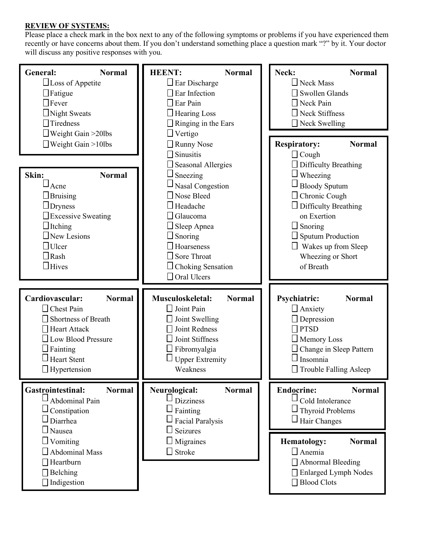### **REVIEW OF SYSTEMS:**

Please place a check mark in the box next to any of the following symptoms or problems if you have experienced them recently or have concerns about them. If you don't understand something place a question mark "?" by it. Your doctor will discuss any positive responses with you.